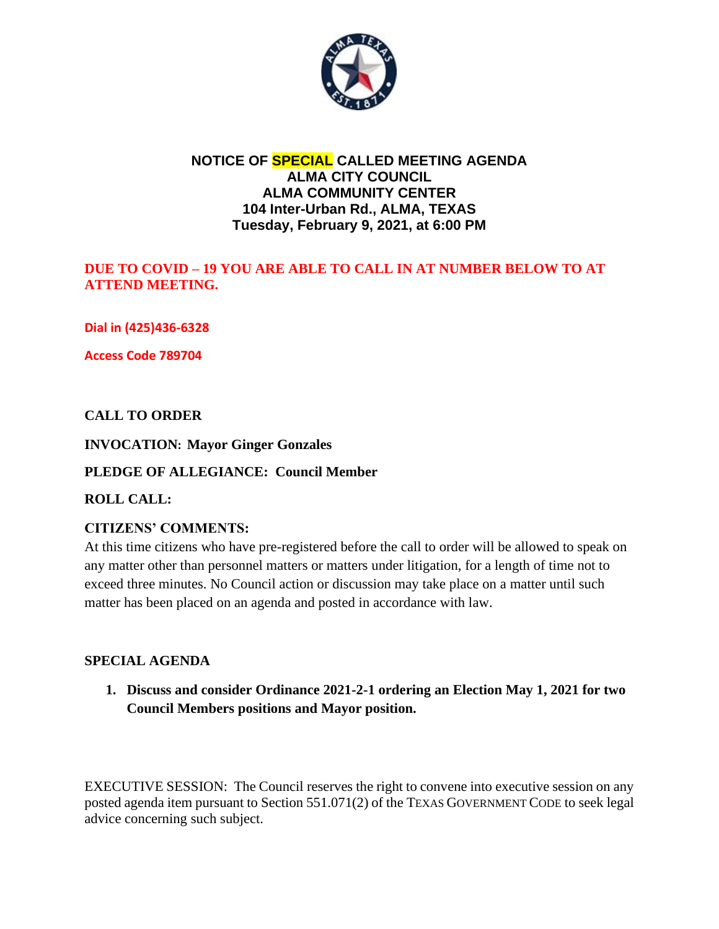

## **NOTICE OF SPECIAL CALLED MEETING AGENDA ALMA CITY COUNCIL ALMA COMMUNITY CENTER 104 Inter-Urban Rd., ALMA, TEXAS Tuesday, February 9, 2021, at 6:00 PM**

### **DUE TO COVID – 19 YOU ARE ABLE TO CALL IN AT NUMBER BELOW TO AT ATTEND MEETING.**

**Dial in (425)436-6328**

**Access Code 789704**

### **CALL TO ORDER**

#### **INVOCATION: Mayor Ginger Gonzales**

#### **PLEDGE OF ALLEGIANCE: Council Member**

#### **ROLL CALL:**

### **CITIZENS' COMMENTS:**

At this time citizens who have pre-registered before the call to order will be allowed to speak on any matter other than personnel matters or matters under litigation, for a length of time not to exceed three minutes. No Council action or discussion may take place on a matter until such matter has been placed on an agenda and posted in accordance with law.

#### **SPECIAL AGENDA**

**1. Discuss and consider Ordinance 2021-2-1 ordering an Election May 1, 2021 for two Council Members positions and Mayor position.** 

EXECUTIVE SESSION: The Council reserves the right to convene into executive session on any posted agenda item pursuant to Section 551.071(2) of the TEXAS GOVERNMENT CODE to seek legal advice concerning such subject.